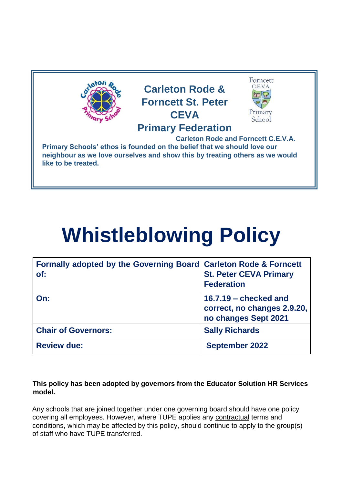

# **Whistleblowing Policy**

| Formally adopted by the Governing Board Carleton Rode & Forncett<br>of: | <b>St. Peter CEVA Primary</b><br><b>Federation</b>                             |
|-------------------------------------------------------------------------|--------------------------------------------------------------------------------|
| On:                                                                     | $16.7.19$ – checked and<br>correct, no changes 2.9.20,<br>no changes Sept 2021 |
| <b>Chair of Governors:</b>                                              | <b>Sally Richards</b>                                                          |
| <b>Review due:</b>                                                      | <b>September 2022</b>                                                          |

#### **This policy has been adopted by governors from the Educator Solution HR Services model.**

Any schools that are joined together under one governing board should have one policy covering all employees. However, where TUPE applies any contractual terms and conditions, which may be affected by this policy, should continue to apply to the group(s) of staff who have TUPE transferred.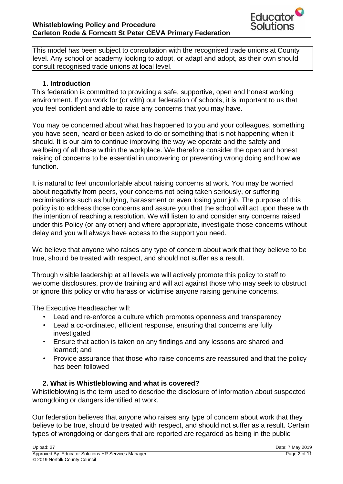

This model has been subject to consultation with the recognised trade unions at County level. Any school or academy looking to adopt, or adapt and adopt, as their own should consult recognised trade unions at local level.

#### **1. Introduction**

This federation is committed to providing a safe, supportive, open and honest working environment. If you work for (or with) our federation of schools, it is important to us that you feel confident and able to raise any concerns that you may have.

You may be concerned about what has happened to you and your colleagues, something you have seen, heard or been asked to do or something that is not happening when it should. It is our aim to continue improving the way we operate and the safety and wellbeing of all those within the workplace. We therefore consider the open and honest raising of concerns to be essential in uncovering or preventing wrong doing and how we function.

It is natural to feel uncomfortable about raising concerns at work. You may be worried about negativity from peers, your concerns not being taken seriously, or suffering recriminations such as bullying, harassment or even losing your job. The purpose of this policy is to address those concerns and assure you that the school will act upon these with the intention of reaching a resolution. We will listen to and consider any concerns raised under this Policy (or any other) and where appropriate, investigate those concerns without delay and you will always have access to the support you need.

We believe that anyone who raises any type of concern about work that they believe to be true, should be treated with respect, and should not suffer as a result.

Through visible leadership at all levels we will actively promote this policy to staff to welcome disclosures, provide training and will act against those who may seek to obstruct or ignore this policy or who harass or victimise anyone raising genuine concerns.

The Executive Headteacher will:

- Lead and re-enforce a culture which promotes openness and transparency
- Lead a co-ordinated, efficient response, ensuring that concerns are fully investigated
- Ensure that action is taken on any findings and any lessons are shared and learned; and
- Provide assurance that those who raise concerns are reassured and that the policy has been followed

#### **2. What is Whistleblowing and what is covered?**

Whistleblowing is the term used to describe the disclosure of information about suspected wrongdoing or dangers identified at work.

Our federation believes that anyone who raises any type of concern about work that they believe to be true, should be treated with respect, and should not suffer as a result. Certain types of wrongdoing or dangers that are reported are regarded as being in the public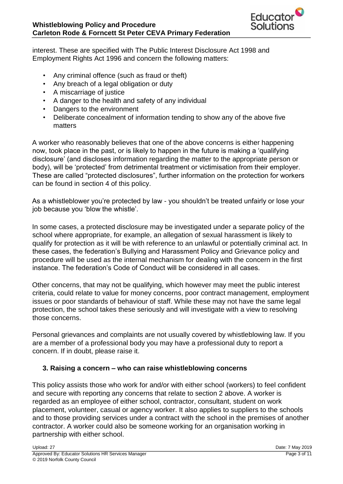

interest. These are specified with The Public Interest Disclosure Act 1998 and Employment Rights Act 1996 and concern the following matters:

- Any criminal offence (such as fraud or theft)
- Any breach of a legal obligation or duty
- A miscarriage of justice
- A danger to the health and safety of any individual
- Dangers to the environment
- Deliberate concealment of information tending to show any of the above five matters

A worker who reasonably believes that one of the above concerns is either happening now, took place in the past, or is likely to happen in the future is making a 'qualifying disclosure' (and discloses information regarding the matter to the appropriate person or body), will be 'protected' from detrimental treatment or victimisation from their employer. These are called "protected disclosures", further information on the protection for workers can be found in section 4 of this policy.

As a whistleblower you're protected by law - you shouldn't be treated unfairly or lose your job because you 'blow the whistle'.

In some cases, a protected disclosure may be investigated under a separate policy of the school where appropriate, for example, an allegation of sexual harassment is likely to qualify for protection as it will be with reference to an unlawful or potentially criminal act. In these cases, the federation's Bullying and Harassment Policy and Grievance policy and procedure will be used as the internal mechanism for dealing with the concern in the first instance. The federation's Code of Conduct will be considered in all cases.

Other concerns, that may not be qualifying, which however may meet the public interest criteria, could relate to value for money concerns, poor contract management, employment issues or poor standards of behaviour of staff. While these may not have the same legal protection, the school takes these seriously and will investigate with a view to resolving those concerns.

Personal grievances and complaints are not usually covered by whistleblowing law. If you are a member of a professional body you may have a professional duty to report a concern. If in doubt, please raise it.

## **3. Raising a concern – who can raise whistleblowing concerns**

This policy assists those who work for and/or with either school (workers) to feel confident and secure with reporting any concerns that relate to section 2 above. A worker is regarded as an employee of either school, contractor, consultant, student on work placement, volunteer, casual or agency worker. It also applies to suppliers to the schools and to those providing services under a contract with the school in the premises of another contractor. A worker could also be someone working for an organisation working in partnership with either school.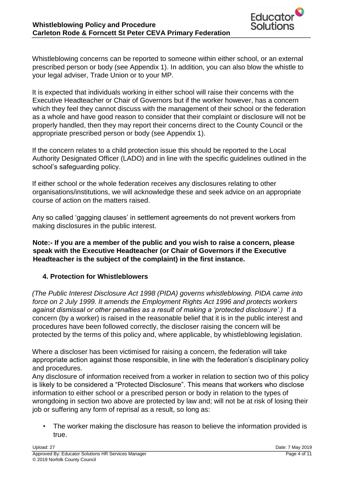

Whistleblowing concerns can be reported to someone within either school, or an external prescribed person or body (see Appendix 1). In addition, you can also blow the whistle to your legal adviser, Trade Union or to your MP.

It is expected that individuals working in either school will raise their concerns with the Executive Headteacher or Chair of Governors but if the worker however, has a concern which they feel they cannot discuss with the management of their school or the federation as a whole and have good reason to consider that their complaint or disclosure will not be properly handled, then they may report their concerns direct to the County Council or the appropriate prescribed person or body (see Appendix 1).

If the concern relates to a child protection issue this should be reported to the Local Authority Designated Officer (LADO) and in line with the specific guidelines outlined in the school's safeguarding policy.

If either school or the whole federation receives any disclosures relating to other organisations/institutions, we will acknowledge these and seek advice on an appropriate course of action on the matters raised.

Any so called 'gagging clauses' in settlement agreements do not prevent workers from making disclosures in the public interest.

**Note:- If you are a member of the public and you wish to raise a concern, please speak with the Executive Headteacher (or Chair of Governors if the Executive Headteacher is the subject of the complaint) in the first instance.** 

## **4. Protection for Whistleblowers**

*(The Public Interest Disclosure Act 1998 (PIDA) governs whistleblowing. PIDA came into force on 2 July 1999. It amends the Employment Rights Act 1996 and protects workers against dismissal or other penalties as a result of making a 'protected disclosure'.)* If a concern (by a worker) is raised in the reasonable belief that it is in the public interest and procedures have been followed correctly, the discloser raising the concern will be protected by the terms of this policy and, where applicable, by whistleblowing legislation.

Where a discloser has been victimised for raising a concern, the federation will take appropriate action against those responsible, in line with the federation's disciplinary policy and procedures.

Any disclosure of information received from a worker in relation to section two of this policy is likely to be considered a "Protected Disclosure". This means that workers who disclose information to either school or a prescribed person or body in relation to the types of wrongdoing in section two above are protected by law and; will not be at risk of losing their job or suffering any form of reprisal as a result, so long as:

The worker making the disclosure has reason to believe the information provided is true.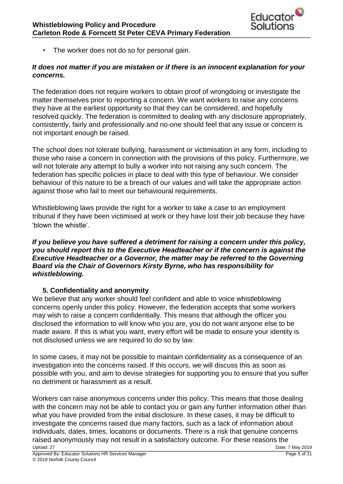

The worker does not do so for personal gain.

#### *It does not matter if you are mistaken or if there is an innocent explanation for your concerns.*

The federation does not require workers to obtain proof of wrongdoing or investigate the matter themselves prior to reporting a concern. We want workers to raise any concerns they have at the earliest opportunity so that they can be considered, and hopefully resolved quickly. The federation is committed to dealing with any disclosure appropriately, consistently, fairly and professionally and no-one should feel that any issue or concern is not important enough be raised.

The school does not tolerate bullying, harassment or victimisation in any form, including to those who raise a concern in connection with the provisions of this policy. Furthermore, we will not tolerate any attempt to bully a worker into not raising any such concern. The federation has specific policies in place to deal with this type of behaviour. We consider behaviour of this nature to be a breach of our values and will take the appropriate action against those who fail to meet our behavioural requirements.

Whistleblowing laws provide the right for a worker to take a case to an employment tribunal if they have been victimised at work or they have lost their job because they have 'blown the whistle'.

*If you believe you have suffered a detriment for raising a concern under this policy, you should report this to the Executive Headteacher or if the concern is against the Executive Headteacher or a Governor, the matter may be referred to the Governing Board via the Chair of Governors Kirsty Byrne, who has responsibility for whistleblowing.* 

#### **5. Confidentiality and anonymity**

We believe that any worker should feel confident and able to voice whistleblowing concerns openly under this policy. However, the federation accepts that some workers may wish to raise a concern confidentially. This means that although the officer you disclosed the information to will know who you are, you do not want anyone else to be made aware. If this is what you want, every effort will be made to ensure your identity is not disclosed unless we are required to do so by law.

In some cases, it may not be possible to maintain confidentiality as a consequence of an investigation into the concerns raised. If this occurs, we will discuss this as soon as possible with you, and aim to devise strategies for supporting you to ensure that you suffer no detriment or harassment as a result.

Upload: 27 Date: 7 May 2019 Workers can raise anonymous concerns under this policy. This means that those dealing with the concern may not be able to contact you or gain any further information other than what you have provided from the initial disclosure. In these cases, it may be difficult to investigate the concerns raised due many factors, such as a lack of information about individuals, dates, times, locations or documents. There is a risk that genuine concerns raised anonymously may not result in a satisfactory outcome. For these reasons the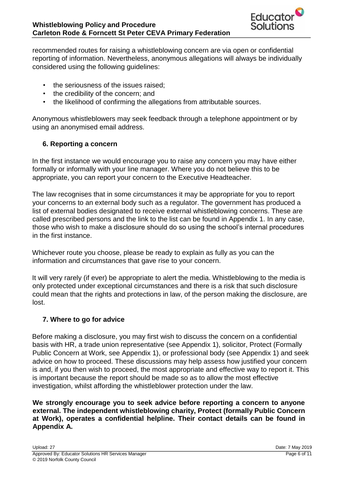

recommended routes for raising a whistleblowing concern are via open or confidential reporting of information. Nevertheless, anonymous allegations will always be individually considered using the following guidelines:

- the seriousness of the issues raised;
- the credibility of the concern; and
- the likelihood of confirming the allegations from attributable sources.

Anonymous whistleblowers may seek feedback through a telephone appointment or by using an anonymised email address.

#### **6. Reporting a concern**

In the first instance we would encourage you to raise any concern you may have either formally or informally with your line manager. Where you do not believe this to be appropriate, you can report your concern to the Executive Headteacher.

The law recognises that in some circumstances it may be appropriate for you to report your concerns to an external body such as a regulator. The government has produced a list of external bodies designated to receive external whistleblowing concerns. These are called prescribed persons and the link to the list can be found in Appendix 1. In any case, those who wish to make a disclosure should do so using the school's internal procedures in the first instance.

Whichever route you choose, please be ready to explain as fully as you can the information and circumstances that gave rise to your concern.

It will very rarely (if ever) be appropriate to alert the media. Whistleblowing to the media is only protected under exceptional circumstances and there is a risk that such disclosure could mean that the rights and protections in law, of the person making the disclosure, are lost.

#### **7. Where to go for advice**

Before making a disclosure, you may first wish to discuss the concern on a confidential basis with HR, a trade union representative (see Appendix 1), solicitor, Protect (Formally Public Concern at Work, see Appendix 1), or professional body (see Appendix 1) and seek advice on how to proceed. These discussions may help assess how justified your concern is and, if you then wish to proceed, the most appropriate and effective way to report it. This is important because the report should be made so as to allow the most effective investigation, whilst affording the whistleblower protection under the law.

**We strongly encourage you to seek advice before reporting a concern to anyone external. The independent whistleblowing charity, Protect (formally Public Concern at Work), operates a confidential helpline. Their contact details can be found in Appendix A.**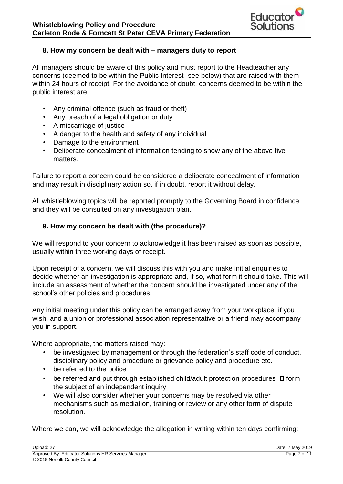

### **8. How my concern be dealt with – managers duty to report**

All managers should be aware of this policy and must report to the Headteacher any concerns (deemed to be within the Public Interest -see below) that are raised with them within 24 hours of receipt. For the avoidance of doubt, concerns deemed to be within the public interest are:

- Any criminal offence (such as fraud or theft)
- Any breach of a legal obligation or duty
- A miscarriage of justice
- A danger to the health and safety of any individual
- Damage to the environment
- Deliberate concealment of information tending to show any of the above five matters.

Failure to report a concern could be considered a deliberate concealment of information and may result in disciplinary action so, if in doubt, report it without delay.

All whistleblowing topics will be reported promptly to the Governing Board in confidence and they will be consulted on any investigation plan.

### **9. How my concern be dealt with (the procedure)?**

We will respond to your concern to acknowledge it has been raised as soon as possible, usually within three working days of receipt.

Upon receipt of a concern, we will discuss this with you and make initial enquiries to decide whether an investigation is appropriate and, if so, what form it should take. This will include an assessment of whether the concern should be investigated under any of the school's other policies and procedures.

Any initial meeting under this policy can be arranged away from your workplace, if you wish, and a union or professional association representative or a friend may accompany you in support.

Where appropriate, the matters raised may:

- be investigated by management or through the federation's staff code of conduct, disciplinary policy and procedure or grievance policy and procedure etc.
- be referred to the police
- be referred and put through established child/adult protection procedures  $\Box$  form the subject of an independent inquiry
- We will also consider whether your concerns may be resolved via other mechanisms such as mediation, training or review or any other form of dispute resolution.

Where we can, we will acknowledge the allegation in writing within ten days confirming: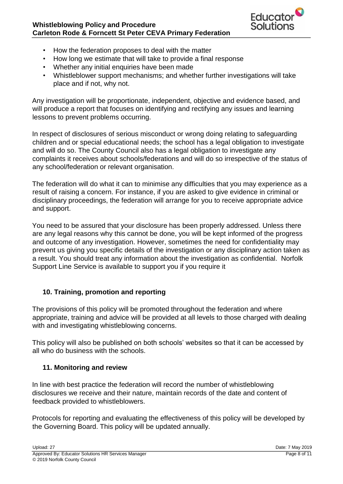

- How the federation proposes to deal with the matter
- How long we estimate that will take to provide a final response
- Whether any initial enquiries have been made
- Whistleblower support mechanisms; and whether further investigations will take place and if not, why not.

Any investigation will be proportionate, independent, objective and evidence based, and will produce a report that focuses on identifying and rectifying any issues and learning lessons to prevent problems occurring.

In respect of disclosures of serious misconduct or wrong doing relating to safeguarding children and or special educational needs; the school has a legal obligation to investigate and will do so. The County Council also has a legal obligation to investigate any complaints it receives about schools/federations and will do so irrespective of the status of any school/federation or relevant organisation.

The federation will do what it can to minimise any difficulties that you may experience as a result of raising a concern. For instance, if you are asked to give evidence in criminal or disciplinary proceedings, the federation will arrange for you to receive appropriate advice and support.

You need to be assured that your disclosure has been properly addressed. Unless there are any legal reasons why this cannot be done, you will be kept informed of the progress and outcome of any investigation. However, sometimes the need for confidentiality may prevent us giving you specific details of the investigation or any disciplinary action taken as a result. You should treat any information about the investigation as confidential. Norfolk Support Line Service is available to support you if you require it

## **10. Training, promotion and reporting**

The provisions of this policy will be promoted throughout the federation and where appropriate, training and advice will be provided at all levels to those charged with dealing with and investigating whistleblowing concerns.

This policy will also be published on both schools' websites so that it can be accessed by all who do business with the schools.

## **11. Monitoring and review**

In line with best practice the federation will record the number of whistleblowing disclosures we receive and their nature, maintain records of the date and content of feedback provided to whistleblowers.

Protocols for reporting and evaluating the effectiveness of this policy will be developed by the Governing Board. This policy will be updated annually.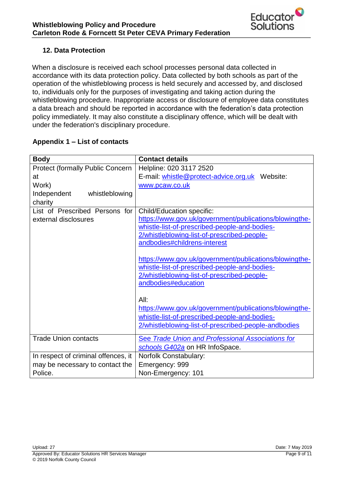

## **12. Data Protection**

When a disclosure is received each school processes personal data collected in accordance with its data protection policy. Data collected by both schools as part of the operation of the whistleblowing process is held securely and accessed by, and disclosed to, individuals only for the purposes of investigating and taking action during the whistleblowing procedure. Inappropriate access or disclosure of employee data constitutes a data breach and should be reported in accordance with the federation's data protection policy immediately. It may also constitute a disciplinary offence, which will be dealt with under the federation's disciplinary procedure.

## **Appendix 1 – List of contacts**

| <b>Body</b>                              | <b>Contact details</b>                                 |
|------------------------------------------|--------------------------------------------------------|
| <b>Protect (formally Public Concern)</b> | Helpline: 020 3117 2520                                |
| at                                       | E-mail: whistle@protect-advice.org.uk Website:         |
| Work)                                    | www.pcaw.co.uk                                         |
| Independent<br>whistleblowing            |                                                        |
| charity                                  |                                                        |
| List of Prescribed Persons for           | <b>Child/Education specific:</b>                       |
| external disclosures                     | https://www.gov.uk/government/publications/blowingthe- |
|                                          | whistle-list-of-prescribed-people-and-bodies-          |
|                                          | 2/whistleblowing-list-of-prescribed-people-            |
|                                          | andbodies#childrens-interest                           |
|                                          |                                                        |
|                                          | https://www.gov.uk/government/publications/blowingthe- |
|                                          | whistle-list-of-prescribed-people-and-bodies-          |
|                                          | 2/whistleblowing-list-of-prescribed-people-            |
|                                          | andbodies#education                                    |
|                                          |                                                        |
|                                          | All:                                                   |
|                                          | https://www.gov.uk/government/publications/blowingthe- |
|                                          | whistle-list-of-prescribed-people-and-bodies-          |
|                                          | 2/whistleblowing-list-of-prescribed-people-andbodies   |
| <b>Trade Union contacts</b>              | See Trade Union and Professional Associations for      |
|                                          | schools G402a on HR InfoSpace.                         |
| In respect of criminal offences, it      | Norfolk Constabulary:                                  |
| may be necessary to contact the          | Emergency: 999                                         |
| Police.                                  | Non-Emergency: 101                                     |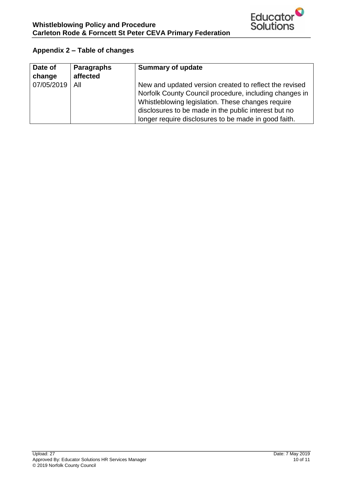## **Appendix 2 – Table of changes**

| Date of    | <b>Paragraphs</b> | <b>Summary of update</b>                               |
|------------|-------------------|--------------------------------------------------------|
| change     | affected          |                                                        |
| 07/05/2019 | All               | New and updated version created to reflect the revised |
|            |                   | Norfolk County Council procedure, including changes in |
|            |                   | Whistleblowing legislation. These changes require      |
|            |                   | disclosures to be made in the public interest but no   |
|            |                   | longer require disclosures to be made in good faith.   |